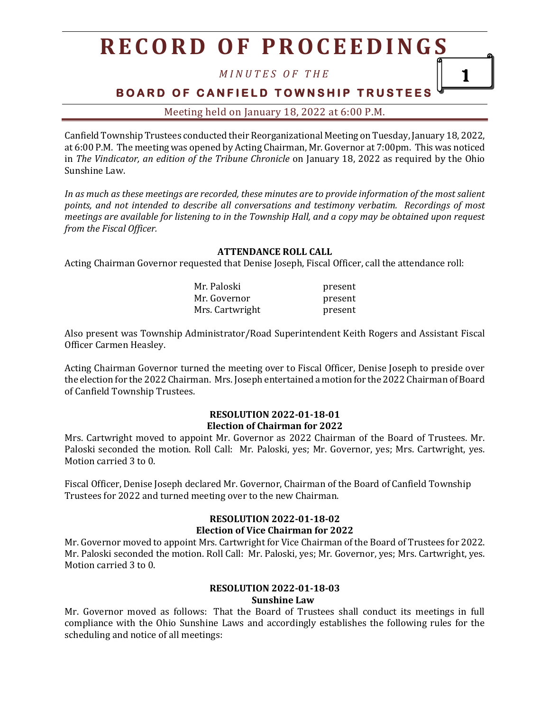*M I N U T E S O F T H E*

1

**BOARD OF CANFIELD TOWNSHIP TRUSTEES** 

Meeting held on January 18, 2022 at 6:00 P.M.

Canfield Township Trustees conducted their Reorganizational Meeting on Tuesday, January 18, 2022, at 6:00 P.M. The meeting was opened by Acting Chairman, Mr. Governor at 7:00pm. This was noticed in *The Vindicator, an edition of the Tribune Chronicle* on January 18, 2022 as required by the Ohio Sunshine Law.

*In as much as these meetings are recorded, these minutes are to provide information of the most salient points, and not intended to describe all conversations and testimony verbatim. Recordings of most meetings are available for listening to in the Township Hall, and a copy may be obtained upon request from the Fiscal Officer.*

#### **ATTENDANCE ROLL CALL**

Acting Chairman Governor requested that Denise Joseph, Fiscal Officer, call the attendance roll:

| Mr. Paloski     | present |
|-----------------|---------|
| Mr. Governor    | present |
| Mrs. Cartwright | present |

Also present was Township Administrator/Road Superintendent Keith Rogers and Assistant Fiscal Officer Carmen Heasley.

Acting Chairman Governor turned the meeting over to Fiscal Officer, Denise Joseph to preside over the election for the 2022 Chairman. Mrs. Joseph entertained a motion for the 2022 Chairman of Board of Canfield Township Trustees.

#### **RESOLUTION 2022-01-18-01 Election of Chairman for 2022**

Mrs. Cartwright moved to appoint Mr. Governor as 2022 Chairman of the Board of Trustees. Mr. Paloski seconded the motion. Roll Call: Mr. Paloski, yes; Mr. Governor, yes; Mrs. Cartwright, yes. Motion carried 3 to 0.

Fiscal Officer, Denise Joseph declared Mr. Governor, Chairman of the Board of Canfield Township Trustees for 2022 and turned meeting over to the new Chairman.

#### **RESOLUTION 2022-01-18-02**

#### **Election of Vice Chairman for 2022**

Mr. Governor moved to appoint Mrs. Cartwright for Vice Chairman of the Board of Trustees for 2022. Mr. Paloski seconded the motion. Roll Call: Mr. Paloski, yes; Mr. Governor, yes; Mrs. Cartwright, yes. Motion carried 3 to 0.

#### **RESOLUTION 2022-01-18-03**

#### **Sunshine Law**

Mr. Governor moved as follows: That the Board of Trustees shall conduct its meetings in full compliance with the Ohio Sunshine Laws and accordingly establishes the following rules for the scheduling and notice of all meetings: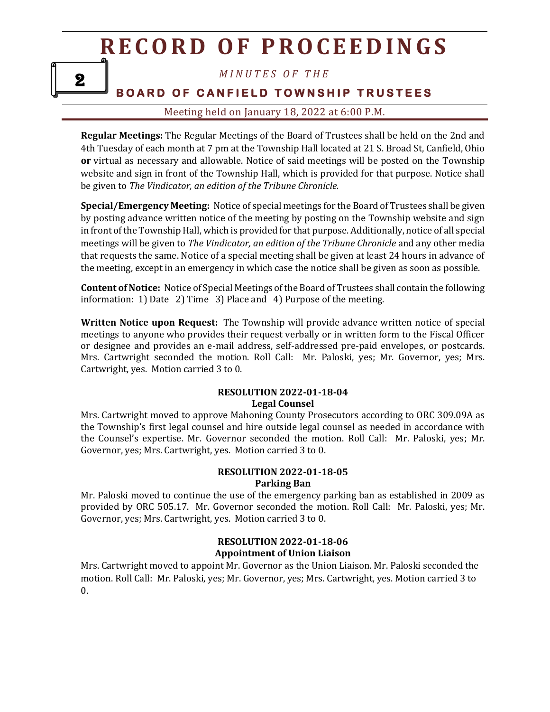*M I N U T E S O F T H E*

### **BOARD OF CANFIELD TOWNSHIP TRUSTEES**

### Meeting held on January 18, 2022 at 6:00 P.M.

**Regular Meetings:** The Regular Meetings of the Board of Trustees shall be held on the 2nd and 4th Tuesday of each month at 7 pm at the Township Hall located at 21 S. Broad St, Canfield, Ohio **or** virtual as necessary and allowable. Notice of said meetings will be posted on the Township website and sign in front of the Township Hall, which is provided for that purpose. Notice shall be given to *The Vindicator, an edition of the Tribune Chronicle.* 

**Special/Emergency Meeting:** Notice of special meetings for the Board of Trustees shall be given by posting advance written notice of the meeting by posting on the Township website and sign in front of the Township Hall, which is provided for that purpose. Additionally, notice of all special meetings will be given to *The Vindicator, an edition of the Tribune Chronicle* and any other media that requests the same. Notice of a special meeting shall be given at least 24 hours in advance of the meeting, except in an emergency in which case the notice shall be given as soon as possible.

**Content of Notice:** Notice of Special Meetings of the Board of Trustees shall contain the following information: 1) Date 2) Time 3) Place and 4) Purpose of the meeting.

**Written Notice upon Request:** The Township will provide advance written notice of special meetings to anyone who provides their request verbally or in written form to the Fiscal Officer or designee and provides an e-mail address, self-addressed pre-paid envelopes, or postcards. Mrs. Cartwright seconded the motion. Roll Call: Mr. Paloski, yes; Mr. Governor, yes; Mrs. Cartwright, yes. Motion carried 3 to 0.

#### **RESOLUTION 2022-01-18-04 Legal Counsel**

Mrs. Cartwright moved to approve Mahoning County Prosecutors according to ORC 309.09A as the Township's first legal counsel and hire outside legal counsel as needed in accordance with the Counsel's expertise. Mr. Governor seconded the motion. Roll Call: Mr. Paloski, yes; Mr. Governor, yes; Mrs. Cartwright, yes. Motion carried 3 to 0.

#### **RESOLUTION 2022-01-18-05 Parking Ban**

Mr. Paloski moved to continue the use of the emergency parking ban as established in 2009 as provided by ORC 505.17. Mr. Governor seconded the motion. Roll Call: Mr. Paloski, yes; Mr. Governor, yes; Mrs. Cartwright, yes. Motion carried 3 to 0.

#### **RESOLUTION 2022-01-18-06 Appointment of Union Liaison**

Mrs. Cartwright moved to appoint Mr. Governor as the Union Liaison. Mr. Paloski seconded the motion. Roll Call: Mr. Paloski, yes; Mr. Governor, yes; Mrs. Cartwright, yes. Motion carried 3 to  $\theta$ .

2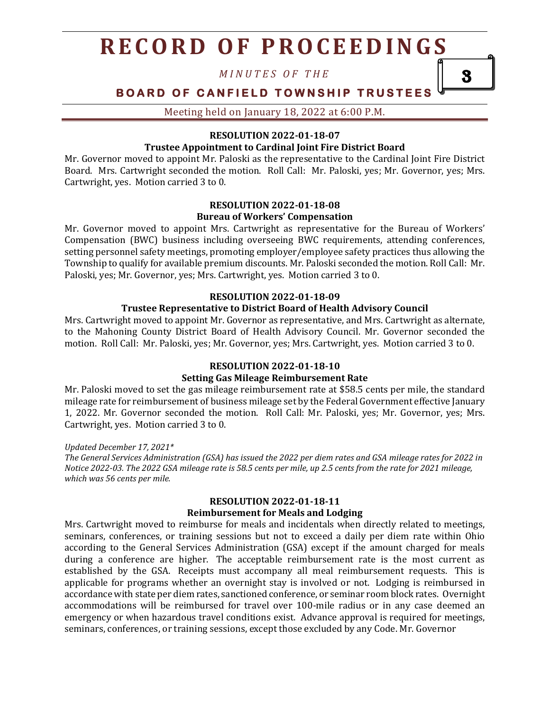*M I N U T E S O F T H E*

### **BOARD OF CANFIELD TOWNSHIP TRUSTEES**

3

Meeting held on January 18, 2022 at 6:00 P.M.

#### **RESOLUTION 2022-01-18-07**

#### **Trustee Appointment to Cardinal Joint Fire District Board**

Mr. Governor moved to appoint Mr. Paloski as the representative to the Cardinal Joint Fire District Board. Mrs. Cartwright seconded the motion. Roll Call: Mr. Paloski, yes; Mr. Governor, yes; Mrs. Cartwright, yes. Motion carried 3 to 0.

#### **RESOLUTION 2022-01-18-08 Bureau of Workers' Compensation**

Mr. Governor moved to appoint Mrs. Cartwright as representative for the Bureau of Workers' Compensation (BWC) business including overseeing BWC requirements, attending conferences, setting personnel safety meetings, promoting employer/employee safety practices thus allowing the Township to qualify for available premium discounts. Mr. Paloski seconded the motion. Roll Call: Mr. Paloski, yes; Mr. Governor, yes; Mrs. Cartwright, yes. Motion carried 3 to 0.

### **RESOLUTION 2022-01-18-09**

#### **Trustee Representative to District Board of Health Advisory Council**

Mrs. Cartwright moved to appoint Mr. Governor as representative, and Mrs. Cartwright as alternate, to the Mahoning County District Board of Health Advisory Council. Mr. Governor seconded the motion. Roll Call: Mr. Paloski, yes; Mr. Governor, yes; Mrs. Cartwright, yes. Motion carried 3 to 0.

#### **RESOLUTION 2022-01-18-10**

#### **Setting Gas Mileage Reimbursement Rate**

Mr. Paloski moved to set the gas mileage reimbursement rate at \$58.5 cents per mile, the standard mileage rate for reimbursement of business mileage set by the Federal Government effective January 1, 2022. Mr. Governor seconded the motion. Roll Call: Mr. Paloski, yes; Mr. Governor, yes; Mrs. Cartwright, yes. Motion carried 3 to 0.

*Updated December 17, 2021\* The General Services Administration (GSA) has issued the 2022 per diem rates and GSA mileage rates for 2022 in Notice 2022-03. The 2022 GSA mileage rate is 58.5 cents per mile, up 2.5 cents from the rate for 2021 mileage, which was 56 cents per mile.*

#### **RESOLUTION 2022-01-18-11**

#### **Reimbursement for Meals and Lodging**

Mrs. Cartwright moved to reimburse for meals and incidentals when directly related to meetings, seminars, conferences, or training sessions but not to exceed a daily per diem rate within Ohio according to the General Services Administration (GSA) except if the amount charged for meals during a conference are higher. The acceptable reimbursement rate is the most current as established by the GSA. Receipts must accompany all meal reimbursement requests. This is applicable for programs whether an overnight stay is involved or not. Lodging is reimbursed in accordance with state per diem rates, sanctioned conference, or seminar room block rates. Overnight accommodations will be reimbursed for travel over 100-mile radius or in any case deemed an emergency or when hazardous travel conditions exist. Advance approval is required for meetings, seminars, conferences, or training sessions, except those excluded by any Code. Mr. Governor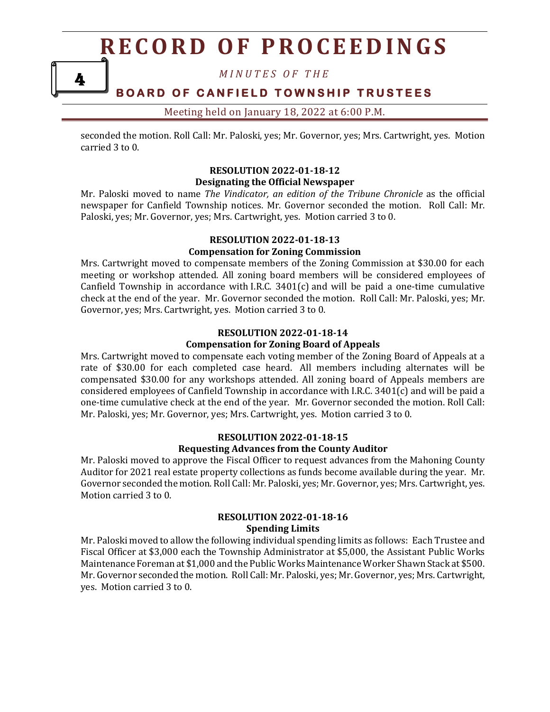*M I N U T E S O F T H E*

4

### **BOARD OF CANFIELD TOWNSHIP TRUSTEES**

#### Meeting held on January 18, 2022 at 6:00 P.M.

seconded the motion. Roll Call: Mr. Paloski, yes; Mr. Governor, yes; Mrs. Cartwright, yes. Motion carried 3 to 0.

#### **RESOLUTION 2022-01-18-12 Designating the Official Newspaper**

Mr. Paloski moved to name *The Vindicator, an edition of the Tribune Chronicle* as the official newspaper for Canfield Township notices. Mr. Governor seconded the motion. Roll Call: Mr. Paloski, yes; Mr. Governor, yes; Mrs. Cartwright, yes. Motion carried 3 to 0.

#### **RESOLUTION 2022-01-18-13**

#### **Compensation for Zoning Commission**

Mrs. Cartwright moved to compensate members of the Zoning Commission at \$30.00 for each meeting or workshop attended. All zoning board members will be considered employees of Canfield Township in accordance with I.R.C. 3401(c) and will be paid a one-time cumulative check at the end of the year. Mr. Governor seconded the motion. Roll Call: Mr. Paloski, yes; Mr. Governor, yes; Mrs. Cartwright, yes. Motion carried 3 to 0.

#### **RESOLUTION 2022-01-18-14**

#### **Compensation for Zoning Board of Appeals**

Mrs. Cartwright moved to compensate each voting member of the Zoning Board of Appeals at a rate of \$30.00 for each completed case heard. All members including alternates will be compensated \$30.00 for any workshops attended. All zoning board of Appeals members are considered employees of Canfield Township in accordance with I.R.C. 3401(c) and will be paid a one-time cumulative check at the end of the year. Mr. Governor seconded the motion. Roll Call: Mr. Paloski, yes; Mr. Governor, yes; Mrs. Cartwright, yes. Motion carried 3 to 0.

### **RESOLUTION 2022-01-18-15**

#### **Requesting Advances from the County Auditor**

Mr. Paloski moved to approve the Fiscal Officer to request advances from the Mahoning County Auditor for 2021 real estate property collections as funds become available during the year. Mr. Governor seconded the motion. Roll Call: Mr. Paloski, yes; Mr. Governor, yes; Mrs. Cartwright, yes. Motion carried 3 to 0.

#### **RESOLUTION 2022-01-18-16 Spending Limits**

Mr. Paloski moved to allow the following individual spending limits as follows: Each Trustee and Fiscal Officer at \$3,000 each the Township Administrator at \$5,000, the Assistant Public Works Maintenance Foreman at \$1,000 and the Public Works Maintenance Worker Shawn Stack at \$500. Mr. Governor seconded the motion. Roll Call: Mr. Paloski, yes; Mr. Governor, yes; Mrs. Cartwright, yes. Motion carried 3 to 0.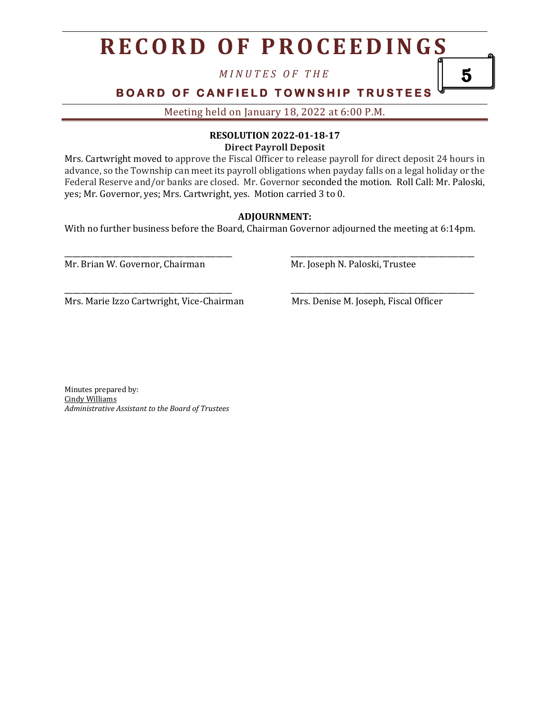*M I N U T E S O F T H E*

## **BOARD OF CANFIELD TOWNSHIP TRUSTEES**

Meeting held on January 18, 2022 at 6:00 P.M.

## **RESOLUTION 2022-01-18-17**

**Direct Payroll Deposit**

Mrs. Cartwright moved to approve the Fiscal Officer to release payroll for direct deposit 24 hours in advance, so the Township can meet its payroll obligations when payday falls on a legal holiday or the Federal Reserve and/or banks are closed. Mr. Governor seconded the motion. Roll Call: Mr. Paloski, yes; Mr. Governor, yes; Mrs. Cartwright, yes. Motion carried 3 to 0.

#### **ADJOURNMENT:**

With no further business before the Board, Chairman Governor adjourned the meeting at 6:14pm.

\_\_\_\_\_\_\_\_\_\_\_\_\_\_\_\_\_\_\_\_\_\_\_\_\_\_\_\_\_\_\_\_\_\_\_\_\_\_\_\_\_\_ \_\_\_\_\_\_\_\_\_\_\_\_\_\_\_\_\_\_\_\_\_\_\_\_\_\_\_\_\_\_\_\_\_\_\_\_\_\_\_\_\_\_\_\_\_\_

\_\_\_\_\_\_\_\_\_\_\_\_\_\_\_\_\_\_\_\_\_\_\_\_\_\_\_\_\_\_\_\_\_\_\_\_\_\_\_\_\_\_ \_\_\_\_\_\_\_\_\_\_\_\_\_\_\_\_\_\_\_\_\_\_\_\_\_\_\_\_\_\_\_\_\_\_\_\_\_\_\_\_\_\_\_\_\_\_

Mr. Brian W. Governor, Chairman Mr. Joseph N. Paloski, Trustee

Mrs. Marie Izzo Cartwright, Vice-Chairman Mrs. Denise M. Joseph, Fiscal Officer

5

Minutes prepared by: Cindy Williams *Administrative Assistant to the Board of Trustees*